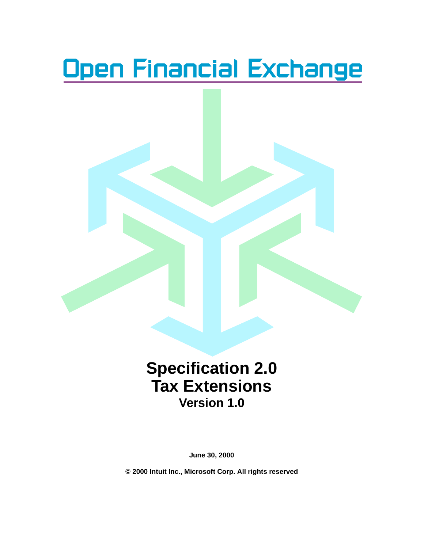# <u>Open Financial Exchange</u>



**June 30, 2000**

**© 2000 Intuit Inc., Microsoft Corp. All rights reserved**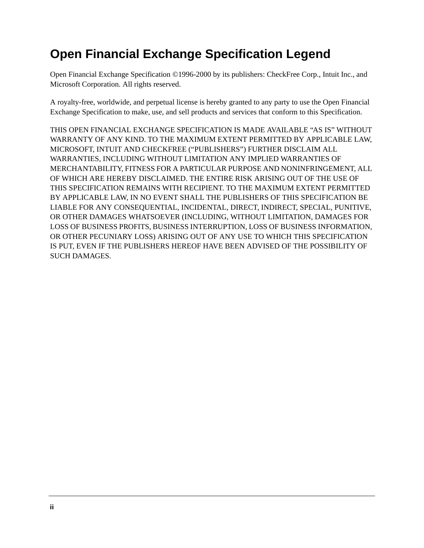# **Open Financial Exchange Specification Legend**

Open Financial Exchange Specification ©1996-2000 by its publishers: CheckFree Corp., Intuit Inc., and Microsoft Corporation. All rights reserved.

A royalty-free, worldwide, and perpetual license is hereby granted to any party to use the Open Financial Exchange Specification to make, use, and sell products and services that conform to this Specification.

THIS OPEN FINANCIAL EXCHANGE SPECIFICATION IS MADE AVAILABLE "AS IS" WITHOUT WARRANTY OF ANY KIND. TO THE MAXIMUM EXTENT PERMITTED BY APPLICABLE LAW, MICROSOFT, INTUIT AND CHECKFREE ("PUBLISHERS") FURTHER DISCLAIM ALL WARRANTIES, INCLUDING WITHOUT LIMITATION ANY IMPLIED WARRANTIES OF MERCHANTABILITY, FITNESS FOR A PARTICULAR PURPOSE AND NONINFRINGEMENT, ALL OF WHICH ARE HEREBY DISCLAIMED. THE ENTIRE RISK ARISING OUT OF THE USE OF THIS SPECIFICATION REMAINS WITH RECIPIENT. TO THE MAXIMUM EXTENT PERMITTED BY APPLICABLE LAW, IN NO EVENT SHALL THE PUBLISHERS OF THIS SPECIFICATION BE LIABLE FOR ANY CONSEQUENTIAL, INCIDENTAL, DIRECT, INDIRECT, SPECIAL, PUNITIVE, OR OTHER DAMAGES WHATSOEVER (INCLUDING, WITHOUT LIMITATION, DAMAGES FOR LOSS OF BUSINESS PROFITS, BUSINESS INTERRUPTION, LOSS OF BUSINESS INFORMATION, OR OTHER PECUNIARY LOSS) ARISING OUT OF ANY USE TO WHICH THIS SPECIFICATION IS PUT, EVEN IF THE PUBLISHERS HEREOF HAVE BEEN ADVISED OF THE POSSIBILITY OF SUCH DAMAGES.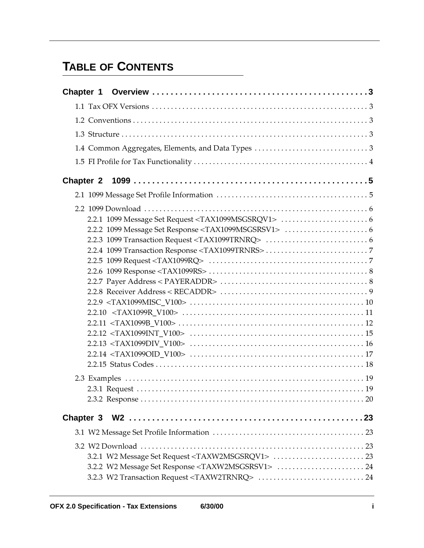# **[T](#page-4-0)ABLE OF CONTENTS**

| 3.2.2 W2 Message Set Response <taxw2msgsrsv1>  24</taxw2msgsrsv1> |
|-------------------------------------------------------------------|
|                                                                   |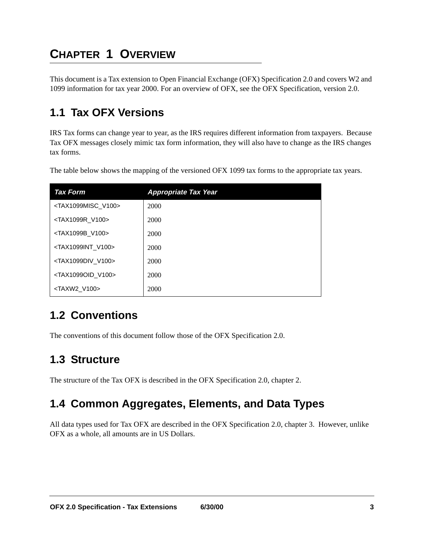# <span id="page-4-0"></span>**CHAPTER 1 OVERVIEW**

This document is a Tax extension to Open Financial Exchange (OFX) Specification 2.0 and covers W2 and 1099 information for tax year 2000. For an overview of OFX, see the OFX Specification, version 2.0.

# <span id="page-4-1"></span>**1.1 Tax OFX Versions**

IRS Tax forms can change year to year, as the IRS requires different information from taxpayers. Because Tax OFX messages closely mimic tax form information, they will also have to change as the IRS changes tax forms.

The table below shows the mapping of the versioned OFX 1099 tax forms to the appropriate tax years.

<span id="page-4-10"></span><span id="page-4-8"></span><span id="page-4-7"></span><span id="page-4-5"></span>

| <b>Tax Form</b>                     | <b>Appropriate Tax Year</b> |
|-------------------------------------|-----------------------------|
| <tax1099misc v100=""></tax1099misc> | 2000                        |
| <tax1099r v100=""></tax1099r>       | 2000                        |
| <tax1099b v100=""></tax1099b>       | 2000                        |
| <tax1099int v100=""></tax1099int>   | 2000                        |
| <tax1099div v100=""></tax1099div>   | 2000                        |
| <tax1099oid v100=""></tax1099oid>   | 2000                        |
| <taxw2 v100=""></taxw2>             | 2000                        |

### <span id="page-4-11"></span><span id="page-4-9"></span><span id="page-4-6"></span><span id="page-4-2"></span>**1.2 Conventions**

The conventions of this document follow those of the OFX Specification 2.0.

#### <span id="page-4-3"></span>**1.3 Structure**

The structure of the Tax OFX is described in the OFX Specification 2.0, chapter 2.

### <span id="page-4-4"></span>**1.4 Common Aggregates, Elements, and Data Types**

All data types used for Tax OFX are described in the OFX Specification 2.0, chapter 3. However, unlike OFX as a whole, all amounts are in US Dollars.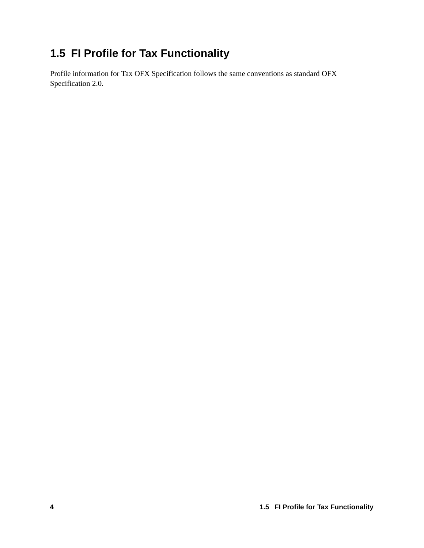# <span id="page-5-0"></span>**1.5 FI Profile for Tax Functionality**

Profile information for Tax OFX Specification follows the same conventions as standard OFX Specification 2.0.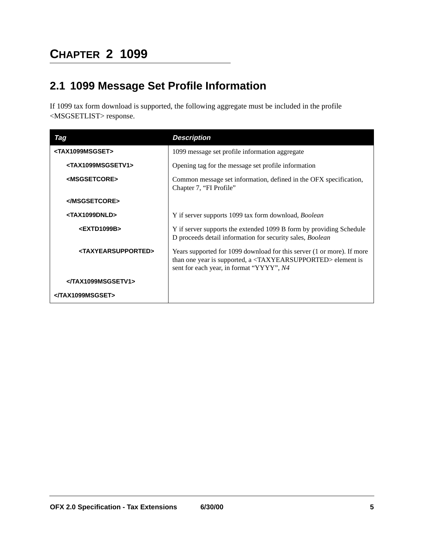# <span id="page-6-0"></span>**CHAPTER 2 1099**

### <span id="page-6-1"></span>**2.1 1099 Message Set Profile Information**

<span id="page-6-4"></span>If 1099 tax form download is supported, the following aggregate must be included in the profile <MSGSETLIST> response.

<span id="page-6-8"></span><span id="page-6-7"></span><span id="page-6-6"></span><span id="page-6-5"></span><span id="page-6-3"></span><span id="page-6-2"></span>

| Tag                                   | <b>Description</b>                                                                                                                                                                                    |
|---------------------------------------|-------------------------------------------------------------------------------------------------------------------------------------------------------------------------------------------------------|
| <tax1099msgset></tax1099msgset>       | 1099 message set profile information aggregate                                                                                                                                                        |
| <tax1099msgsetv1></tax1099msgsetv1>   | Opening tag for the message set profile information                                                                                                                                                   |
| <msgsetcore></msgsetcore>             | Common message set information, defined in the OFX specification,<br>Chapter 7, "FI Profile"                                                                                                          |
|                                       |                                                                                                                                                                                                       |
| <tax1099dnld></tax1099dnld>           | Y if server supports 1099 tax form download, <i>Boolean</i>                                                                                                                                           |
| <extd1099b></extd1099b>               | Y if server supports the extended 1099 B form by providing Schedule<br>D proceeds detail information for security sales, Boolean                                                                      |
| <taxyearsupported></taxyearsupported> | Years supported for 1099 download for this server (1 or more). If more<br>than one year is supported, a <taxyearsupported> element is<br/>sent for each year, in format "YYYY", N4</taxyearsupported> |
|                                       |                                                                                                                                                                                                       |
|                                       |                                                                                                                                                                                                       |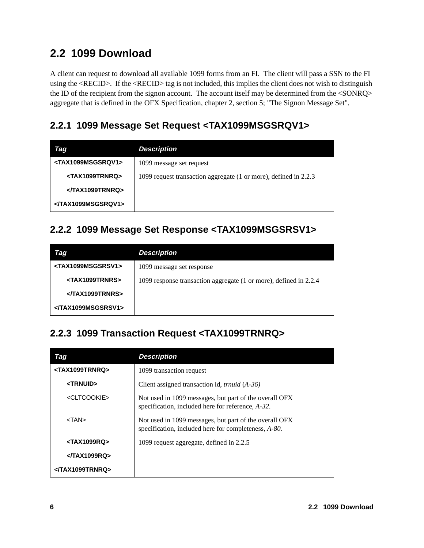### <span id="page-7-0"></span>**2.2 1099 Download**

<span id="page-7-6"></span><span id="page-7-5"></span>A client can request to download all available 1099 forms from an FI. The client will pass a SSN to the FI using the <RECID>. If the <RECID> tag is not included, this implies the client does not wish to distinguish the ID of the recipient from the signon account. The account itself may be determined from the <SONRQ> aggregate that is defined in the OFX Specification, chapter 2, section 5; "The Signon Message Set".

#### <span id="page-7-1"></span>**2.2.1 1099 Message Set Request <TAX1099MSGSRQV1>**

<span id="page-7-11"></span><span id="page-7-8"></span>

| Tag                                 | <b>Description</b>                                               |
|-------------------------------------|------------------------------------------------------------------|
| <tax1099msgsrqv1></tax1099msgsrqv1> | 1099 message set request                                         |
| <tax1099trnrq></tax1099trnrq>       | 1099 request transaction aggregate (1 or more), defined in 2.2.3 |
|                                     |                                                                  |
|                                     |                                                                  |

#### <span id="page-7-2"></span>**2.2.2 1099 Message Set Response <TAX1099MSGSRSV1>**

<span id="page-7-12"></span><span id="page-7-9"></span>

| Tag                                 | <b>Description</b>                                                |
|-------------------------------------|-------------------------------------------------------------------|
| <tax1099msgsrsv1></tax1099msgsrsv1> | 1099 message set response                                         |
| <tax1099trnrs></tax1099trnrs>       | 1099 response transaction aggregate (1 or more), defined in 2.2.4 |
|                                     |                                                                   |
|                                     |                                                                   |

#### <span id="page-7-3"></span>**2.2.3 1099 Transaction Request <TAX1099TRNRQ>**

<span id="page-7-13"></span><span id="page-7-10"></span><span id="page-7-7"></span><span id="page-7-4"></span>

| Tag                           | <b>Description</b>                                                                                             |
|-------------------------------|----------------------------------------------------------------------------------------------------------------|
| <tax1099trnrq></tax1099trnrq> | 1099 transaction request                                                                                       |
| <trnuid></trnuid>             | Client assigned transaction id, <i>trnuid</i> (A-36)                                                           |
| <cltcookie></cltcookie>       | Not used in 1099 messages, but part of the overall OFX<br>specification, included here for reference, A-32.    |
| $<$ TAN $>$                   | Not used in 1099 messages, but part of the overall OFX<br>specification, included here for completeness, A-80. |
| $<$ TAX1099RQ>                | 1099 request aggregate, defined in 2.2.5                                                                       |
| $<$ $TAX1099RO$ >             |                                                                                                                |
|                               |                                                                                                                |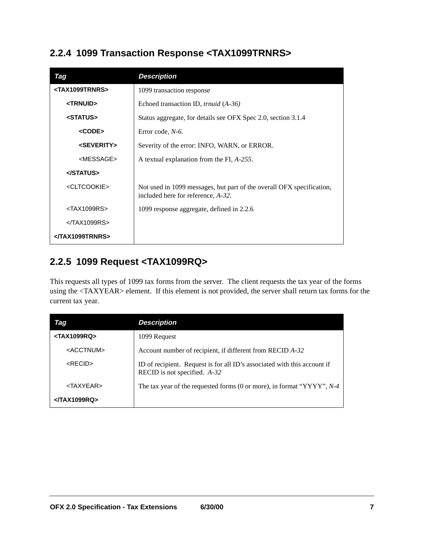#### <span id="page-8-0"></span>**2.2.4 1099 Transaction Response <TAX1099TRNRS>**

<span id="page-8-14"></span><span id="page-8-11"></span><span id="page-8-8"></span><span id="page-8-7"></span><span id="page-8-5"></span><span id="page-8-4"></span>

| Tag                           | <b>Description</b>                                                                                          |
|-------------------------------|-------------------------------------------------------------------------------------------------------------|
| <tax1099trnrs></tax1099trnrs> | 1099 transaction response                                                                                   |
| <trnuid></trnuid>             | Echoed transaction ID, <i>trnuid</i> (A-36)                                                                 |
| <status></status>             | Status aggregate, for details see OFX Spec 2.0, section 3.1.4                                               |
| <code></code>                 | Error code, $N-6$ .                                                                                         |
| <severity></severity>         | Severity of the error: INFO, WARN, or ERROR.                                                                |
| <message></message>           | A textual explanation from the FI, A-255.                                                                   |
|                               |                                                                                                             |
| <cltcookie></cltcookie>       | Not used in 1099 messages, but part of the overall OFX specification,<br>included here for reference, A-32. |
| <tax1099rs></tax1099rs>       | 1099 response aggregate, defined in 2.2.6                                                                   |
| $<$ $TAX1099RS$               |                                                                                                             |
| <th></th>                     |                                                                                                             |

### <span id="page-8-10"></span><span id="page-8-3"></span><span id="page-8-1"></span>**2.2.5 1099 Request <TAX1099RQ>**

<span id="page-8-12"></span>This requests all types of 1099 tax forms from the server. The client requests the tax year of the forms using the <TAXYEAR> element. If this element is not provided, the server shall return tax forms for the current tax year.

<span id="page-8-13"></span><span id="page-8-9"></span><span id="page-8-6"></span><span id="page-8-2"></span>

| <b>Iag</b>              | <b>Description</b>                                                                                       |
|-------------------------|----------------------------------------------------------------------------------------------------------|
| <tax1099rq></tax1099rq> | 1099 Request                                                                                             |
| <acctnum></acctnum>     | Account number of recipient, if different from RECID A-32                                                |
| $<$ RECID $>$           | ID of recipient. Request is for all ID's associated with this account if<br>RECID is not specified. A-32 |
| $<$ TAXYEAR $>$         | The tax year of the requested forms (0 or more), in format " $YYYY"$ , $N-4$                             |
| $<$ $TAX1099RQ$         |                                                                                                          |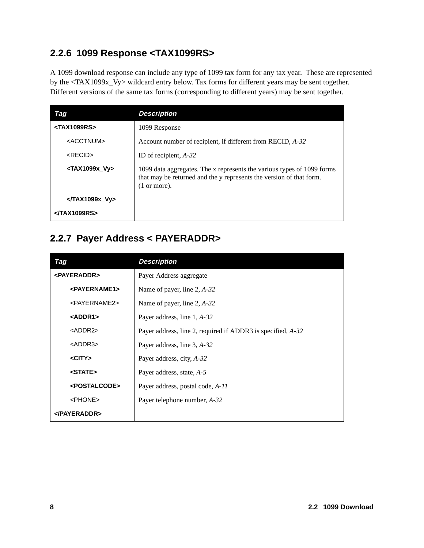#### <span id="page-9-0"></span>**2.2.6 1099 Response <TAX1099RS>**

A 1099 download response can include any type of 1099 tax form for any tax year. These are represented by the <TAX1099x\_Vy> wildcard entry below. Tax forms for different years may be sent together. Different versions of the same tax forms (corresponding to different years) may be sent together.

<span id="page-9-14"></span><span id="page-9-12"></span><span id="page-9-2"></span>

| Tag                         | <b>Description</b>                                                                                                                                                      |
|-----------------------------|-------------------------------------------------------------------------------------------------------------------------------------------------------------------------|
| $<$ TAX1099RS>              | 1099 Response                                                                                                                                                           |
| <acctnum></acctnum>         | Account number of recipient, if different from RECID, A-32                                                                                                              |
| $<$ RECID $>$               | ID of recipient, $A-32$                                                                                                                                                 |
| <tax1099x vy=""></tax1099x> | 1099 data aggregates. The x represents the various types of 1099 forms<br>that may be returned and the y represents the version of that form.<br>$(1 \text{ or more}).$ |
| $<$ $\sqrt{T}AX1099x$ Vy    |                                                                                                                                                                         |
| <th></th>                   |                                                                                                                                                                         |

#### <span id="page-9-1"></span>**2.2.7 Payer Address < PAYERADDR>**

<span id="page-9-13"></span><span id="page-9-11"></span><span id="page-9-10"></span><span id="page-9-9"></span><span id="page-9-8"></span><span id="page-9-7"></span><span id="page-9-6"></span><span id="page-9-5"></span><span id="page-9-4"></span><span id="page-9-3"></span>

| Tag                       | <b>Description</b>                                          |
|---------------------------|-------------------------------------------------------------|
| <payeraddr></payeraddr>   | Payer Address aggregate                                     |
| <payername1></payername1> | Name of payer, line $2, A-32$                               |
| <payername2></payername2> | Name of payer, line $2, A-32$                               |
| <addr1></addr1>           | Payer address, line 1, A-32                                 |
| $<$ ADDR2 $>$             | Payer address, line 2, required if ADDR3 is specified, A-32 |
| $<$ ADDR3 $>$             | Payer address, line 3, A-32                                 |
| $<$ CITY $>$              | Payer address, city, A-32                                   |
| <state></state>           | Payer address, state, A-5                                   |
| <postalcode></postalcode> | Payer address, postal code, A-11                            |
| <phone></phone>           | Payer telephone number, A-32                                |
|                           |                                                             |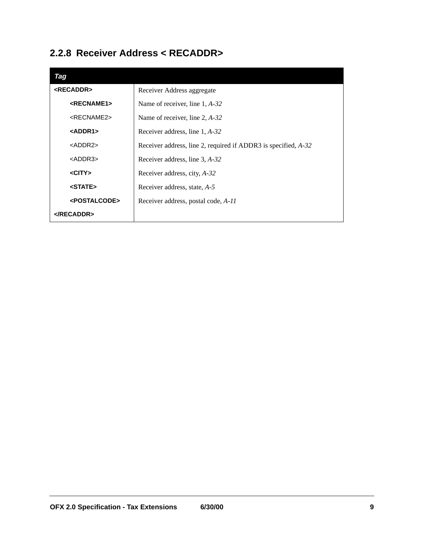### <span id="page-10-0"></span>**2.2.8 Receiver Address < RECADDR>**

<span id="page-10-9"></span><span id="page-10-8"></span><span id="page-10-7"></span><span id="page-10-6"></span><span id="page-10-5"></span><span id="page-10-4"></span><span id="page-10-3"></span><span id="page-10-2"></span><span id="page-10-1"></span>

| Tag                       |                                                                |
|---------------------------|----------------------------------------------------------------|
| <recaddr></recaddr>       | Receiver Address aggregate                                     |
| <recname1></recname1>     | Name of receiver, line $1, A-32$                               |
| <recname2></recname2>     | Name of receiver, line $2, A-32$                               |
| $<$ ADDR1>                | Receiver address, line 1, A-32                                 |
| $<$ ADDR2 $>$             | Receiver address, line 2, required if ADDR3 is specified, A-32 |
| <addr3></addr3>           | Receiver address, line 3, A-32                                 |
| $<$ CITY $>$              | Receiver address, city, A-32                                   |
| <state></state>           | Receiver address, state, A-5                                   |
| <postalcode></postalcode> | Receiver address, postal code, A-11                            |
| $<$ /RECADDR>             |                                                                |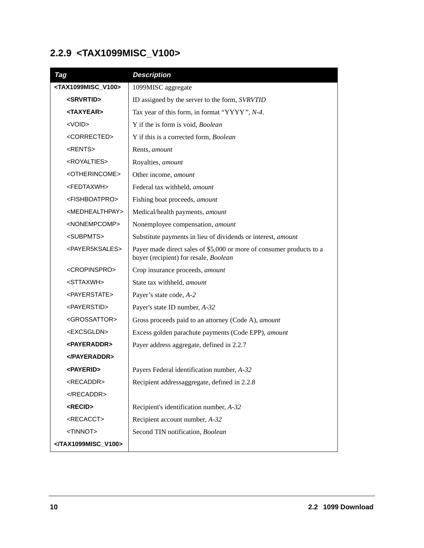# <span id="page-11-0"></span>**2.2.9 <TAX1099MISC\_V100>**

<span id="page-11-26"></span><span id="page-11-25"></span><span id="page-11-24"></span><span id="page-11-23"></span><span id="page-11-22"></span><span id="page-11-21"></span><span id="page-11-20"></span><span id="page-11-19"></span><span id="page-11-18"></span><span id="page-11-17"></span><span id="page-11-16"></span><span id="page-11-15"></span><span id="page-11-14"></span><span id="page-11-13"></span><span id="page-11-12"></span><span id="page-11-11"></span><span id="page-11-10"></span><span id="page-11-9"></span><span id="page-11-8"></span><span id="page-11-7"></span><span id="page-11-6"></span><span id="page-11-5"></span><span id="page-11-4"></span><span id="page-11-3"></span><span id="page-11-2"></span><span id="page-11-1"></span>

| Tag                                   | <b>Description</b>                                                                                            |
|---------------------------------------|---------------------------------------------------------------------------------------------------------------|
| <tax1099misc_v100></tax1099misc_v100> | 1099MISC aggregate                                                                                            |
| <srvrtid></srvrtid>                   | ID assigned by the server to the form, SVRVTID                                                                |
| <taxyear></taxyear>                   | Tax year of this form, in format "YYYY", N-4.                                                                 |
| <void></void>                         | Y if the is form is void, Boolean                                                                             |
| <corrected></corrected>               | Y if this is a corrected form, Boolean                                                                        |
| <rents></rents>                       | Rents, amount                                                                                                 |
| <royalties></royalties>               | Royalties, amount                                                                                             |
| <otherincome></otherincome>           | Other income, amount                                                                                          |
| <fedtaxwh></fedtaxwh>                 | Federal tax withheld, amount                                                                                  |
| <fishboatpro></fishboatpro>           | Fishing boat proceeds, amount                                                                                 |
| <medhealthpay></medhealthpay>         | Medical/health payments, amount                                                                               |
| <nonempcomp></nonempcomp>             | Nonemployee compensation, amount                                                                              |
| <subpmts></subpmts>                   | Substitute payments in lieu of dividends or interest, amount                                                  |
| <payer5ksales></payer5ksales>         | Payer made direct sales of \$5,000 or more of consumer products to a<br>buyer (recipient) for resale, Boolean |
| <cropinspro></cropinspro>             | Crop insurance proceeds, amount                                                                               |
| <sttaxwh></sttaxwh>                   | State tax withheld, amount                                                                                    |
| <payerstate></payerstate>             | Payer's state code, A-2                                                                                       |
| <payerstid></payerstid>               | Payer's state ID number, A-32                                                                                 |
| <grossattor></grossattor>             | Gross proceeds paid to an attorney (Code A), amount                                                           |
| <excsgldn></excsgldn>                 | Excess golden parachute payments (Code EPP), amount                                                           |
| <b><payeraddr></payeraddr></b>        | Payer address aggregate, defined in 2.2.7                                                                     |
| $<$ /PAYERADDR>                       |                                                                                                               |
| <payerid></payerid>                   | Payers Federal identification number, A-32                                                                    |
| <recaddr></recaddr>                   | Recipient addressaggregate, defined in 2.2.8                                                                  |
|                                       |                                                                                                               |
| <recid></recid>                       | Recipient's identification number, A-32                                                                       |
| <recacct></recacct>                   | Recipient account number, A-32                                                                                |
| <tinnot></tinnot>                     | Second TIN notification, Boolean                                                                              |
|                                       |                                                                                                               |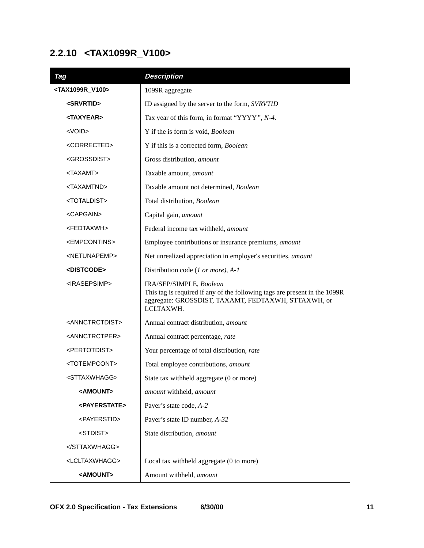### <span id="page-12-0"></span>**2.2.10 <TAX1099R\_V100>**

<span id="page-12-26"></span><span id="page-12-25"></span><span id="page-12-24"></span><span id="page-12-23"></span><span id="page-12-22"></span><span id="page-12-21"></span><span id="page-12-20"></span><span id="page-12-19"></span><span id="page-12-18"></span><span id="page-12-17"></span><span id="page-12-16"></span><span id="page-12-15"></span><span id="page-12-14"></span><span id="page-12-13"></span><span id="page-12-12"></span><span id="page-12-11"></span><span id="page-12-10"></span><span id="page-12-9"></span><span id="page-12-8"></span><span id="page-12-7"></span><span id="page-12-6"></span><span id="page-12-5"></span><span id="page-12-4"></span><span id="page-12-3"></span><span id="page-12-2"></span><span id="page-12-1"></span>

| Tag                             | <b>Description</b>                                                                                                                                                        |
|---------------------------------|---------------------------------------------------------------------------------------------------------------------------------------------------------------------------|
| <tax1099r_v100></tax1099r_v100> | 1099R aggregate                                                                                                                                                           |
| <srvrtid></srvrtid>             | ID assigned by the server to the form, SVRVTID                                                                                                                            |
| <taxyear></taxyear>             | Tax year of this form, in format "YYYY", N-4.                                                                                                                             |
| <void></void>                   | Y if the is form is void, Boolean                                                                                                                                         |
| <corrected></corrected>         | Y if this is a corrected form, Boolean                                                                                                                                    |
| <grossdist></grossdist>         | Gross distribution, amount                                                                                                                                                |
| <taxamt></taxamt>               | Taxable amount, amount                                                                                                                                                    |
| <taxamtnd></taxamtnd>           | Taxable amount not determined, Boolean                                                                                                                                    |
| <totaldist></totaldist>         | Total distribution, Boolean                                                                                                                                               |
| <capgain></capgain>             | Capital gain, amount                                                                                                                                                      |
| <fedtaxwh></fedtaxwh>           | Federal income tax withheld, amount                                                                                                                                       |
| <empcontins></empcontins>       | Employee contributions or insurance premiums, amount                                                                                                                      |
| <netunapemp></netunapemp>       | Net unrealized appreciation in employer's securities, amount                                                                                                              |
| <distcode></distcode>           | Distribution code (1 or more), A-1                                                                                                                                        |
| <irasepsimp></irasepsimp>       | IRA/SEP/SIMPLE, Boolean<br>This tag is required if any of the following tags are present in the 1099R<br>aggregate: GROSSDIST, TAXAMT, FEDTAXWH, STTAXWH, or<br>LCLTAXWH. |
| <annctrctdist></annctrctdist>   | Annual contract distribution, amount                                                                                                                                      |
| <annctrctper></annctrctper>     | Annual contract percentage, rate                                                                                                                                          |
| <pertotdist></pertotdist>       | Your percentage of total distribution, rate                                                                                                                               |
| <totempcont></totempcont>       | Total employee contributions, amount                                                                                                                                      |
| <sttaxwhagg></sttaxwhagg>       | State tax withheld aggregate (0 or more)                                                                                                                                  |
| <amount></amount>               | amount withheld, amount                                                                                                                                                   |
| <payerstate></payerstate>       | Payer's state code, A-2                                                                                                                                                   |
| <payerstid></payerstid>         | Payer's state ID number, A-32                                                                                                                                             |
| <stdist></stdist>               | State distribution, amount                                                                                                                                                |
|                                 |                                                                                                                                                                           |
| <lcltaxwhagg></lcltaxwhagg>     | Local tax withheld aggregate (0 to more)                                                                                                                                  |
| <amount></amount>               | Amount withheld, amount                                                                                                                                                   |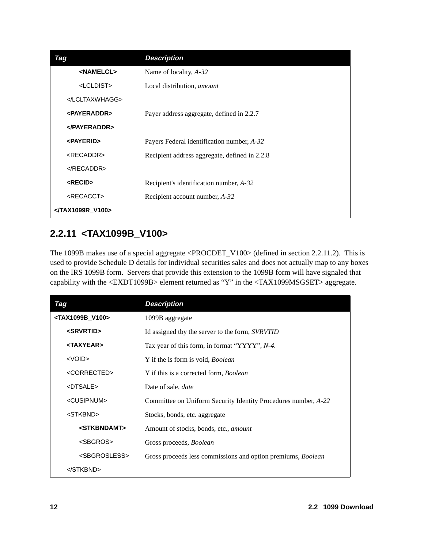<span id="page-13-8"></span><span id="page-13-7"></span><span id="page-13-6"></span><span id="page-13-5"></span>

| Tag                     | <b>Description</b>                            |
|-------------------------|-----------------------------------------------|
| <namelcl></namelcl>     | Name of locality, $A-32$                      |
| <lcldist></lcldist>     | Local distribution, <i>amount</i>             |
|                         |                                               |
| <payeraddr></payeraddr> | Payer address aggregate, defined in 2.2.7     |
| $<$ /PAYERADDR>         |                                               |
| <payerid></payerid>     | Payers Federal identification number, A-32    |
| <recaddr></recaddr>     | Recipient address aggregate, defined in 2.2.8 |
| $<$ /RECADDR>           |                                               |
| <recid></recid>         | Recipient's identification number, A-32       |
| <recacct></recacct>     | Recipient account number, A-32                |
| <th></th>               |                                               |

#### <span id="page-13-12"></span><span id="page-13-11"></span><span id="page-13-10"></span><span id="page-13-0"></span>**2.2.11 <TAX1099B\_V100>**

<span id="page-13-19"></span><span id="page-13-9"></span><span id="page-13-4"></span>The 1099B makes use of a special aggregate <PROCDET\_V100> (defined in section 2.2.11.2). This is used to provide Schedule D details for individual securities sales and does not actually map to any boxes on the IRS 1099B form. Servers that provide this extension to the 1099B form will have signaled that capability with the <EXDT1099B> element returned as "Y" in the <TAX1099MSGSET> aggregate.

<span id="page-13-21"></span><span id="page-13-20"></span><span id="page-13-18"></span><span id="page-13-17"></span><span id="page-13-16"></span><span id="page-13-15"></span><span id="page-13-14"></span><span id="page-13-13"></span><span id="page-13-3"></span><span id="page-13-2"></span><span id="page-13-1"></span>

| Tag                             | <b>Description</b>                                             |
|---------------------------------|----------------------------------------------------------------|
| <tax1099b_v100></tax1099b_v100> | 1099B aggregate                                                |
| <srvrtid></srvrtid>             | Id assigned tby the server to the form, <i>SVRVTID</i>         |
| <taxyear></taxyear>             | Tax year of this form, in format "YYYY", N-4.                  |
| $<$ VOID $>$                    | Y if the is form is void, <i>Boolean</i>                       |
| <corrected></corrected>         | Y if this is a corrected form, <i>Boolean</i>                  |
| <dtsale></dtsale>               | Date of sale, <i>date</i>                                      |
| <cusipnum></cusipnum>           | Committee on Uniform Security Identity Procedures number, A-22 |
| <stkbnd></stkbnd>               | Stocks, bonds, etc. aggregate                                  |
| <stkbndamt></stkbndamt>         | Amount of stocks, bonds, etc., amount                          |
| <sbgros></sbgros>               | Gross proceeds, Boolean                                        |
| <sbgrosless></sbgrosless>       | Gross proceeds less commissions and option premiums, Boolean   |
|                                 |                                                                |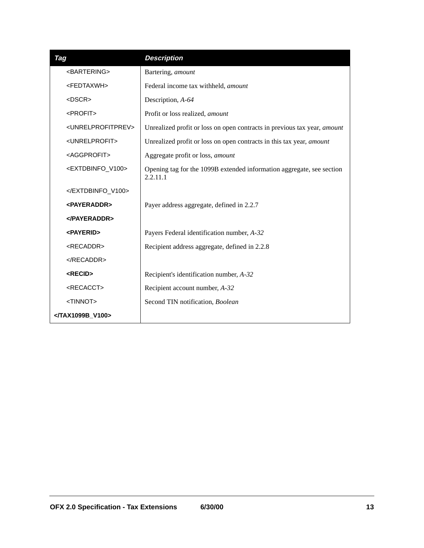<span id="page-14-13"></span><span id="page-14-12"></span><span id="page-14-11"></span><span id="page-14-10"></span><span id="page-14-9"></span><span id="page-14-8"></span><span id="page-14-7"></span><span id="page-14-6"></span><span id="page-14-5"></span><span id="page-14-4"></span><span id="page-14-3"></span><span id="page-14-2"></span><span id="page-14-1"></span><span id="page-14-0"></span>

| Tag                                 | <b>Description</b>                                                                |
|-------------------------------------|-----------------------------------------------------------------------------------|
| <bartering></bartering>             | Bartering, amount                                                                 |
| <fedtaxwh></fedtaxwh>               | Federal income tax withheld, amount                                               |
| $<$ DSCR $>$                        | Description, A-64                                                                 |
| <profit></profit>                   | Profit or loss realized, amount                                                   |
| <unrelprofitprev></unrelprofitprev> | Unrealized profit or loss on open contracts in previous tax year, amount          |
| <unrelprofit></unrelprofit>         | Unrealized profit or loss on open contracts in this tax year, amount              |
| <aggprofit></aggprofit>             | Aggregate profit or loss, amount                                                  |
| <extdbinfo_v100></extdbinfo_v100>   | Opening tag for the 1099B extended information aggregate, see section<br>2.2.11.1 |
|                                     |                                                                                   |
| <payeraddr></payeraddr>             | Payer address aggregate, defined in 2.2.7                                         |
|                                     |                                                                                   |
| <payerid></payerid>                 | Payers Federal identification number, A-32                                        |
| <recaddr></recaddr>                 | Recipient address aggregate, defined in 2.2.8                                     |
| $<$ /RECADDR>                       |                                                                                   |
| <recid></recid>                     | Recipient's identification number, A-32                                           |
| <recacct></recacct>                 | Recipient account number, A-32                                                    |
| <tinnot></tinnot>                   | Second TIN notification, Boolean                                                  |
|                                     |                                                                                   |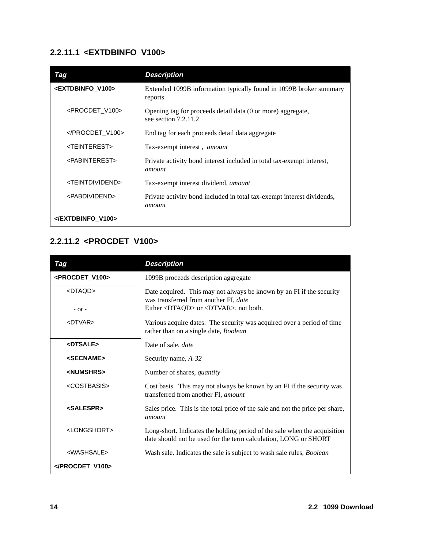#### **2.2.11.1 <EXTDBINFO\_V100>**

<span id="page-15-14"></span><span id="page-15-9"></span><span id="page-15-8"></span><span id="page-15-4"></span>

| Tag                             | <b>Description</b>                                                                    |
|---------------------------------|---------------------------------------------------------------------------------------|
| <extdbinfo v100=""></extdbinfo> | Extended 1099B information typically found in 1099B broker summary<br>reports.        |
| <procdet v100=""></procdet>     | Opening tag for proceeds detail data (0 or more) aggregate,<br>see section $7.2.11.2$ |
|                                 | End tag for each proceeds detail data aggregate                                       |
| <teinterest></teinterest>       | Tax-exempt interest, amount                                                           |
| <pabinterest></pabinterest>     | Private activity bond interest included in total tax-exempt interest,<br>amount       |
| <teintdividend></teintdividend> | Tax-exempt interest dividend, <i>amount</i>                                           |
| <pabdividend></pabdividend>     | Private activity bond included in total tax-exempt interest dividends,<br>amount      |
|                                 |                                                                                       |

### <span id="page-15-13"></span><span id="page-15-7"></span>**2.2.11.2 <PROCDET\_V100>**

<span id="page-15-15"></span><span id="page-15-12"></span><span id="page-15-11"></span><span id="page-15-10"></span><span id="page-15-6"></span><span id="page-15-5"></span><span id="page-15-3"></span><span id="page-15-2"></span><span id="page-15-1"></span><span id="page-15-0"></span>

| Tag                         | <b>Description</b>                                                                                                                           |
|-----------------------------|----------------------------------------------------------------------------------------------------------------------------------------------|
| <procdet v100=""></procdet> | 1099B proceeds description aggregate                                                                                                         |
| <dtaqd></dtaqd>             | Date acquired. This may not always be known by an FI if the security<br>was transferred from another FI, date                                |
| $-$ or $-$                  | Either <dtaqd> or <dtvar>, not both.</dtvar></dtaqd>                                                                                         |
| $<$ DTVAR $>$               | Various acquire dates. The security was acquired over a period of time<br>rather than on a single date, Boolean                              |
| <dtsale></dtsale>           | Date of sale, <i>date</i>                                                                                                                    |
| <secname></secname>         | Security name, A-32                                                                                                                          |
| <numshrs></numshrs>         | Number of shares, <i>quantity</i>                                                                                                            |
| <costbasis></costbasis>     | Cost basis. This may not always be known by an FI if the security was<br>transferred from another FI, amount                                 |
| <salespr></salespr>         | Sales price. This is the total price of the sale and not the price per share,<br>amount                                                      |
| <longshort></longshort>     | Long-short. Indicates the holding period of the sale when the acquisition<br>date should not be used for the term calculation, LONG or SHORT |
| <washsale></washsale>       | Wash sale. Indicates the sale is subject to wash sale rules, Boolean                                                                         |
|                             |                                                                                                                                              |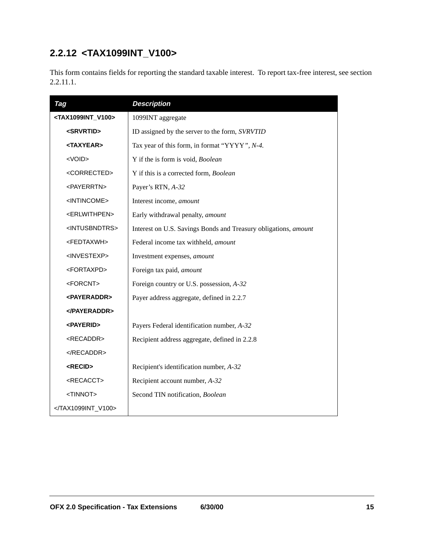### <span id="page-16-0"></span>**2.2.12 <TAX1099INT\_V100>**

This form contains fields for reporting the standard taxable interest. To report tax-free interest, see section 2.2.11.1.

<span id="page-16-17"></span><span id="page-16-16"></span><span id="page-16-15"></span><span id="page-16-14"></span><span id="page-16-13"></span><span id="page-16-12"></span><span id="page-16-11"></span><span id="page-16-10"></span><span id="page-16-9"></span><span id="page-16-8"></span><span id="page-16-7"></span><span id="page-16-6"></span><span id="page-16-5"></span><span id="page-16-4"></span><span id="page-16-3"></span><span id="page-16-2"></span><span id="page-16-1"></span>

| Tag                                 | <b>Description</b>                                              |
|-------------------------------------|-----------------------------------------------------------------|
| <tax1099int_v100></tax1099int_v100> | 1099INT aggregate                                               |
| <srvrtid></srvrtid>                 | ID assigned by the server to the form, SVRVTID                  |
| <taxyear></taxyear>                 | Tax year of this form, in format "YYYY", N-4.                   |
| <void></void>                       | Y if the is form is void, Boolean                               |
| <corrected></corrected>             | Y if this is a corrected form, Boolean                          |
| <payerrtn></payerrtn>               | Payer's RTN, A-32                                               |
| <intincome></intincome>             | Interest income, amount                                         |
| <erlwithpen></erlwithpen>           | Early withdrawal penalty, amount                                |
| <intusbndtrs></intusbndtrs>         | Interest on U.S. Savings Bonds and Treasury obligations, amount |
| <fedtaxwh></fedtaxwh>               | Federal income tax withheld, amount                             |
| <investexp></investexp>             | Investment expenses, amount                                     |
| <fortaxpd></fortaxpd>               | Foreign tax paid, amount                                        |
| <forcnt></forcnt>                   | Foreign country or U.S. possession, A-32                        |
| <b><payeraddr></payeraddr></b>      | Payer address aggregate, defined in 2.2.7                       |
| <b></b>                             |                                                                 |
| <payerid></payerid>                 | Payers Federal identification number, A-32                      |
| <recaddr></recaddr>                 | Recipient address aggregate, defined in 2.2.8                   |
|                                     |                                                                 |
| <recid></recid>                     | Recipient's identification number, A-32                         |
| <recacct></recacct>                 | Recipient account number, A-32                                  |
| <tinnot></tinnot>                   | Second TIN notification, Boolean                                |
|                                     |                                                                 |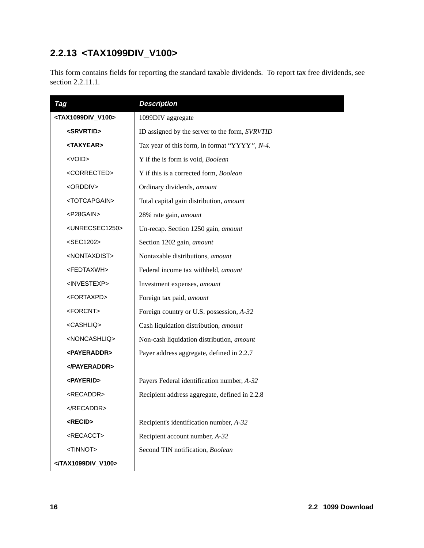# <span id="page-17-0"></span>**2.2.13 <TAX1099DIV\_V100>**

This form contains fields for reporting the standard taxable dividends. To report tax free dividends, see section 2.2.11.1.

<span id="page-17-23"></span><span id="page-17-22"></span><span id="page-17-21"></span><span id="page-17-20"></span><span id="page-17-19"></span><span id="page-17-18"></span><span id="page-17-17"></span><span id="page-17-16"></span><span id="page-17-15"></span><span id="page-17-14"></span><span id="page-17-13"></span><span id="page-17-12"></span><span id="page-17-11"></span><span id="page-17-10"></span><span id="page-17-9"></span><span id="page-17-8"></span><span id="page-17-7"></span><span id="page-17-6"></span><span id="page-17-5"></span><span id="page-17-4"></span><span id="page-17-3"></span><span id="page-17-2"></span><span id="page-17-1"></span>

| Tag                                 | <b>Description</b>                             |
|-------------------------------------|------------------------------------------------|
| <tax1099div_v100></tax1099div_v100> | 1099DIV aggregate                              |
| <srvrtid></srvrtid>                 | ID assigned by the server to the form, SVRVTID |
| <taxyear></taxyear>                 | Tax year of this form, in format "YYYY", N-4.  |
| <void></void>                       | Y if the is form is void, Boolean              |
| <corrected></corrected>             | Y if this is a corrected form, Boolean         |
| <orddiv></orddiv>                   | Ordinary dividends, amount                     |
| <totcapgain></totcapgain>           | Total capital gain distribution, amount        |
| <p28gain></p28gain>                 | 28% rate gain, amount                          |
| <unrecsec1250></unrecsec1250>       | Un-recap. Section 1250 gain, amount            |
| <sec1202></sec1202>                 | Section 1202 gain, amount                      |
| <nontaxdist></nontaxdist>           | Nontaxable distributions, amount               |
| <fedtaxwh></fedtaxwh>               | Federal income tax withheld, amount            |
| <investexp></investexp>             | Investment expenses, amount                    |
| <fortaxpd></fortaxpd>               | Foreign tax paid, amount                       |
| <forcnt></forcnt>                   | Foreign country or U.S. possession, A-32       |
| <cashliq></cashliq>                 | Cash liquidation distribution, amount          |
| <noncashliq></noncashliq>           | Non-cash liquidation distribution, amount      |
| <b><payeraddr></payeraddr></b>      | Payer address aggregate, defined in 2.2.7      |
| <b></b>                             |                                                |
| <payerid></payerid>                 | Payers Federal identification number, A-32     |
| <recaddr></recaddr>                 | Recipient address aggregate, defined in 2.2.8  |
|                                     |                                                |
| <recid></recid>                     | Recipient's identification number, A-32        |
| <recacct></recacct>                 | Recipient account number, A-32                 |
| <tinnot></tinnot>                   | Second TIN notification, Boolean               |
|                                     |                                                |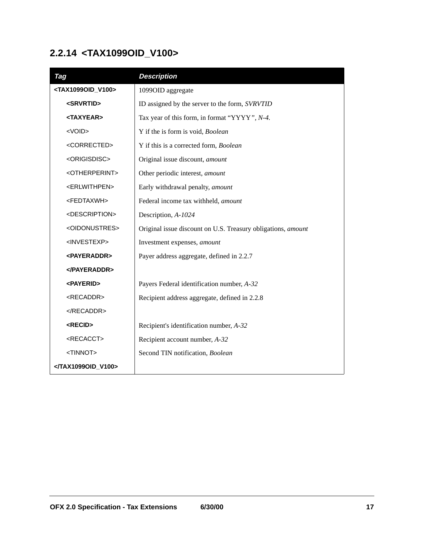### <span id="page-18-0"></span>**2.2.14 <TAX1099OID\_V100>**

<span id="page-18-17"></span><span id="page-18-16"></span><span id="page-18-15"></span><span id="page-18-14"></span><span id="page-18-13"></span><span id="page-18-12"></span><span id="page-18-11"></span><span id="page-18-10"></span><span id="page-18-9"></span><span id="page-18-8"></span><span id="page-18-7"></span><span id="page-18-6"></span><span id="page-18-5"></span><span id="page-18-4"></span><span id="page-18-3"></span><span id="page-18-2"></span><span id="page-18-1"></span>

| Tag                                 | <b>Description</b>                                           |
|-------------------------------------|--------------------------------------------------------------|
| <tax1099oid_v100></tax1099oid_v100> | 1099OID aggregate                                            |
| <srvrtid></srvrtid>                 | ID assigned by the server to the form, SVRVTID               |
| <taxyear></taxyear>                 | Tax year of this form, in format "YYYY", N-4.                |
| <void></void>                       | Y if the is form is void, Boolean                            |
| <corrected></corrected>             | Y if this is a corrected form, Boolean                       |
| <origisdisc></origisdisc>           | Original issue discount, amount                              |
| <otherperint></otherperint>         | Other periodic interest, amount                              |
| <erlwithpen></erlwithpen>           | Early withdrawal penalty, amount                             |
| <fedtaxwh></fedtaxwh>               | Federal income tax withheld, amount                          |
| <description></description>         | Description, A-1024                                          |
| <oidonustres></oidonustres>         | Original issue discount on U.S. Treasury obligations, amount |
| <investexp></investexp>             | Investment expenses, amount                                  |
| <payeraddr></payeraddr>             | Payer address aggregate, defined in 2.2.7                    |
|                                     |                                                              |
| <payerid></payerid>                 | Payers Federal identification number, A-32                   |
| <recaddr></recaddr>                 | Recipient address aggregate, defined in 2.2.8                |
|                                     |                                                              |
| <recid></recid>                     | Recipient's identification number, A-32                      |
| <recacct></recacct>                 | Recipient account number, A-32                               |
| <tinnot></tinnot>                   | Second TIN notification, Boolean                             |
|                                     |                                                              |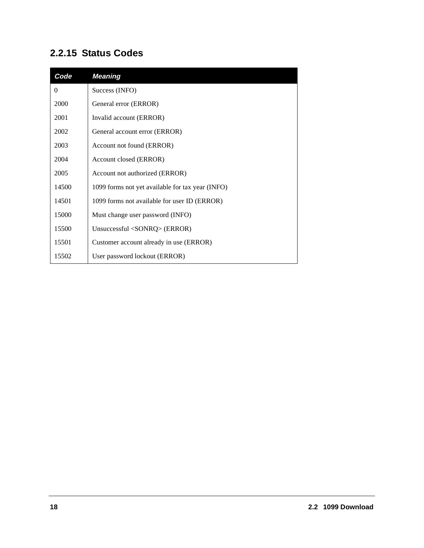#### <span id="page-19-0"></span>**2.2.15 Status Codes**

| Code     | <b>Meaning</b>                                   |
|----------|--------------------------------------------------|
| $\theta$ | Success (INFO)                                   |
| 2000     | General error (ERROR)                            |
| 2001     | Invalid account (ERROR)                          |
| 2002     | General account error (ERROR)                    |
| 2003     | Account not found (ERROR)                        |
| 2004     | Account closed (ERROR)                           |
| 2005     | Account not authorized (ERROR)                   |
| 14500    | 1099 forms not yet available for tax year (INFO) |
| 14501    | 1099 forms not available for user ID (ERROR)     |
| 15000    | Must change user password (INFO)                 |
| 15500    | Unsuccessful $\langle$ SONRQ $\rangle$ (ERROR)   |
| 15501    | Customer account already in use (ERROR)          |
| 15502    | User password lockout (ERROR)                    |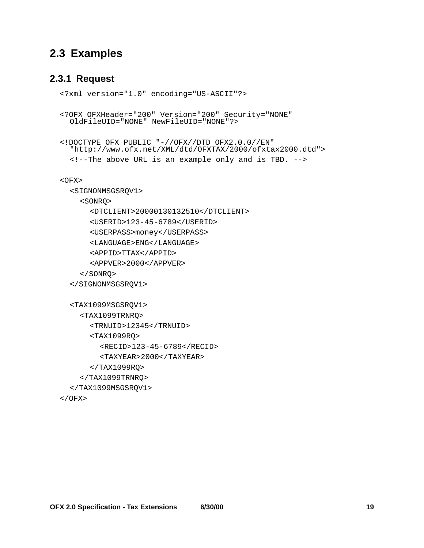#### <span id="page-20-0"></span>**2.3 Examples**

#### <span id="page-20-1"></span>**2.3.1 Request**

```
<?xml version="1.0" encoding="US-ASCII"?>
<?OFX OFXHeader="200" Version="200" Security="NONE"
  OldFileUID="NONE" NewFileUID="NONE"?>
<!DOCTYPE OFX PUBLIC "-//OFX//DTD OFX2.0.0//EN"
  "http://www.ofx.net/XML/dtd/OFXTAX/2000/ofxtax2000.dtd">
  <!--The above URL is an example only and is TBD. -->
<OFX><SIGNONMSGSRQV1>
    <SONRQ>
      <DTCLIENT>20000130132510</DTCLIENT>
      <USERID>123-45-6789</USERID>
      <USERPASS>money</USERPASS>
      <LANGUAGE>ENG</LANGUAGE>
      <APPID>TTAX</APPID>
      <APPVER>2000</APPVER>
    </SONRQ>
  </SIGNONMSGSRQV1>
  <TAX1099MSGSRQV1>
    <TAX1099TRNRQ>
      <TRNUID>12345</TRNUID>
      <TAX1099RQ>
         <RECID>123-45-6789</RECID>
         <TAXYEAR>2000</TAXYEAR>
      </TAX1099RQ>
    </TAX1099TRNRQ>
  </TAX1099MSGSRQV1>
</OFX>
```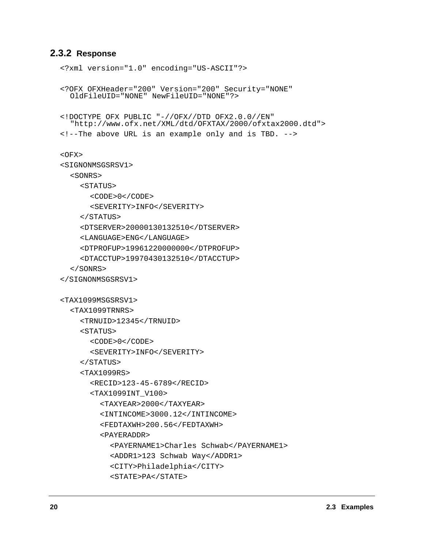#### <span id="page-21-0"></span>**2.3.2 Response**

```
<?xml version="1.0" encoding="US-ASCII"?>
<?OFX OFXHeader="200" Version="200" Security="NONE"
  OldFileUID="NONE" NewFileUID="NONE"?>
<!DOCTYPE OFX PUBLIC "-//OFX//DTD OFX2.0.0//EN"
  "http://www.ofx.net/XML/dtd/OFXTAX/2000/ofxtax2000.dtd">
<!--The above URL is an example only and is TBD. -->
<OFX><SIGNONMSGSRSV1>
  <SONRS>
    <STATUS>
      <CODE>0</CODE>
      <SEVERITY>INFO</SEVERITY>
    </STATUS>
    <DTSERVER>20000130132510</DTSERVER>
    <LANGUAGE>ENG</LANGUAGE>
    <DTPROFUP>19961220000000</DTPROFUP>
    <DTACCTUP>19970430132510</DTACCTUP>
  </SONRS>
</SIGNONMSGSRSV1>
<TAX1099MSGSRSV1>
  <TAX1099TRNRS>
    <TRNUID>12345</TRNUID>
    <STATUS>
      <CODE>0</CODE>
      <SEVERITY>INFO</SEVERITY>
    </STATUS>
    <TAX1099RS>
      <RECID>123-45-6789</RECID>
      <TAX1099INT_V100>
         <TAXYEAR>2000</TAXYEAR>
         <INTINCOME>3000.12</INTINCOME>
         <FEDTAXWH>200.56</FEDTAXWH>
         <PAYERADDR>
           <PAYERNAME1>Charles Schwab</PAYERNAME1>
           <ADDR1>123 Schwab Way</ADDR1>
           <CITY>Philadelphia</CITY>
           <STATE>PA</STATE>
```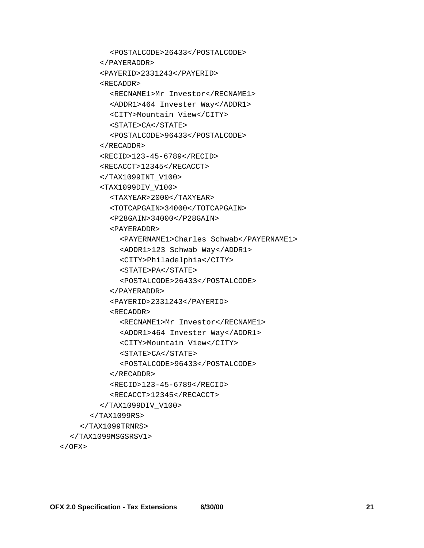```
<POSTALCODE>26433</POSTALCODE>
      </PAYERADDR>
      <PAYERID>2331243</PAYERID>
      <RECADDR>
        <RECNAME1>Mr Investor</RECNAME1>
        <ADDR1>464 Invester Way</ADDR1>
        <CITY>Mountain View</CITY>
        <STATE>CA</STATE>
        <POSTALCODE>96433</POSTALCODE>
      </RECADDR>
      <RECID>123-45-6789</RECID>
      <RECACCT>12345</RECACCT>
      </TAX1099INT_V100>
      <TAX1099DIV_V100>
        <TAXYEAR>2000</TAXYEAR>
        <TOTCAPGAIN>34000</TOTCAPGAIN>
        <P28GAIN>34000</P28GAIN>
        <PAYERADDR>
           <PAYERNAME1>Charles Schwab</PAYERNAME1>
           <ADDR1>123 Schwab Way</ADDR1>
           <CITY>Philadelphia</CITY>
           <STATE>PA</STATE>
           <POSTALCODE>26433</POSTALCODE>
         </PAYERADDR>
        <PAYERID>2331243</PAYERID>
        <RECADDR>
           <RECNAME1>Mr Investor</RECNAME1>
           <ADDR1>464 Invester Way</ADDR1>
           <CITY>Mountain View</CITY>
           <STATE>CA</STATE>
           <POSTALCODE>96433</POSTALCODE>
        </RECADDR>
        <RECID>123-45-6789</RECID>
         <RECACCT>12345</RECACCT>
      </TAX1099DIV_V100>
    </TAX1099RS>
  </TAX1099TRNRS>
</TAX1099MSGSRSV1>
```

```
</OFX>
```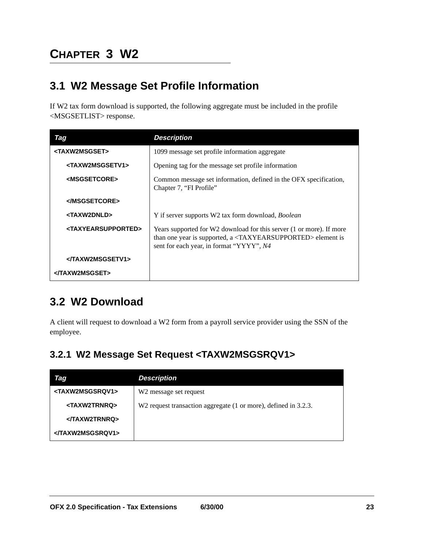# <span id="page-24-0"></span>**CHAPTER 3 W2**

### <span id="page-24-1"></span>**3.1 W2 Message Set Profile Information**

<span id="page-24-5"></span>If W2 tax form download is supported, the following aggregate must be included in the profile <MSGSETLIST> response.

<span id="page-24-8"></span><span id="page-24-7"></span><span id="page-24-6"></span><span id="page-24-4"></span>

| Tag                                   | <b>Description</b>                                                                                                                                                                                  |
|---------------------------------------|-----------------------------------------------------------------------------------------------------------------------------------------------------------------------------------------------------|
| <taxw2msgset></taxw2msgset>           | 1099 message set profile information aggregate                                                                                                                                                      |
| <taxw2msgsetv1></taxw2msgsetv1>       | Opening tag for the message set profile information                                                                                                                                                 |
| <msgsetcore></msgsetcore>             | Common message set information, defined in the OFX specification,<br>Chapter 7, "FI Profile"                                                                                                        |
|                                       |                                                                                                                                                                                                     |
| <taxw2dnld></taxw2dnld>               | Y if server supports W2 tax form download, Boolean                                                                                                                                                  |
| <taxyearsupported></taxyearsupported> | Years supported for W2 download for this server (1 or more). If more<br>than one year is supported, a <taxyearsupported> element is<br/>sent for each year, in format "YYYY", N4</taxyearsupported> |
| <th></th>                             |                                                                                                                                                                                                     |
|                                       |                                                                                                                                                                                                     |

### <span id="page-24-11"></span><span id="page-24-2"></span>**3.2 W2 Download**

A client will request to download a W2 form from a payroll service provider using the SSN of the employee.

#### <span id="page-24-3"></span>**3.2.1 W2 Message Set Request <TAXW2MSGSRQV1>**

<span id="page-24-10"></span><span id="page-24-9"></span>

| Tag                             | <b>Description</b>                                              |
|---------------------------------|-----------------------------------------------------------------|
| <taxw2msgsrqv1></taxw2msgsrqv1> | W <sub>2</sub> message set request                              |
| <taxw2trnrq></taxw2trnrq>       | W2 request transaction aggregate (1 or more), defined in 3.2.3. |
|                                 |                                                                 |
|                                 |                                                                 |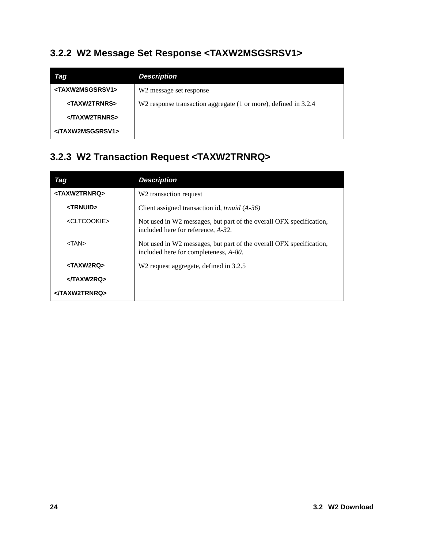### <span id="page-25-0"></span>**3.2.2 W2 Message Set Response <TAXW2MSGSRSV1>**

<span id="page-25-6"></span><span id="page-25-4"></span>

| Tag                             | <b>Description</b>                                              |
|---------------------------------|-----------------------------------------------------------------|
| <taxw2msgsrsv1></taxw2msgsrsv1> | W <sub>2</sub> message set response                             |
| <taxw2trnrs></taxw2trnrs>       | W2 response transaction aggregate (1 or more), defined in 3.2.4 |
| <th></th>                       |                                                                 |
|                                 |                                                                 |

# <span id="page-25-1"></span>**3.2.3 W2 Transaction Request <TAXW2TRNRQ>**

<span id="page-25-7"></span><span id="page-25-5"></span><span id="page-25-3"></span><span id="page-25-2"></span>

| Tag                       | <b>Description</b>                                                                                           |
|---------------------------|--------------------------------------------------------------------------------------------------------------|
| <taxw2trnrq></taxw2trnrq> | W <sub>2</sub> transaction request                                                                           |
| <trnuid></trnuid>         | Client assigned transaction id, <i>trnuid</i> (A-36)                                                         |
| <cltcookie></cltcookie>   | Not used in W2 messages, but part of the overall OFX specification,<br>included here for reference, A-32.    |
| $<$ TAN $>$               | Not used in W2 messages, but part of the overall OFX specification,<br>included here for completeness, A-80. |
| <taxw2rq></taxw2rq>       | W <sub>2</sub> request aggregate, defined in 3.2.5                                                           |
| <th></th>                 |                                                                                                              |
|                           |                                                                                                              |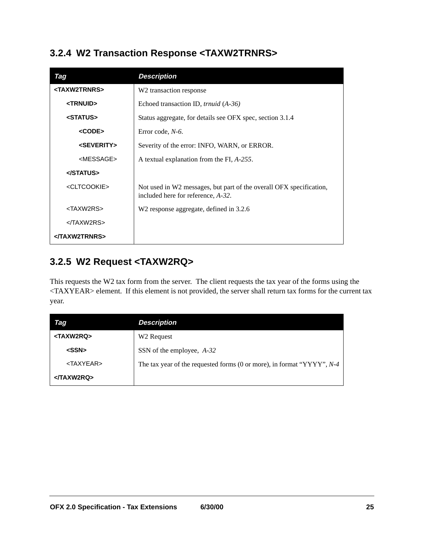#### <span id="page-26-0"></span>**3.2.4 W2 Transaction Response <TAXW2TRNRS>**

<span id="page-26-13"></span><span id="page-26-10"></span><span id="page-26-7"></span><span id="page-26-5"></span><span id="page-26-4"></span><span id="page-26-3"></span>

| Tag                       | <b>Description</b>                                                                                        |
|---------------------------|-----------------------------------------------------------------------------------------------------------|
| <taxw2trnrs></taxw2trnrs> | W <sub>2</sub> transaction response                                                                       |
| <trnuid></trnuid>         | Echoed transaction ID, <i>trnuid</i> (A-36)                                                               |
| <status></status>         | Status aggregate, for details see OFX spec, section 3.1.4                                                 |
| <code></code>             | Error code, $N-6$ .                                                                                       |
| <severity></severity>     | Severity of the error: INFO, WARN, or ERROR.                                                              |
| <message></message>       | A textual explanation from the FI, A-255.                                                                 |
|                           |                                                                                                           |
| <cltcookie></cltcookie>   | Not used in W2 messages, but part of the overall OFX specification,<br>included here for reference, A-32. |
| <taxw2rs></taxw2rs>       | W <sub>2</sub> response aggregate, defined in 3.2.6                                                       |
| $<$ /TAXW2RS $>$          |                                                                                                           |
| <th></th>                 |                                                                                                           |

#### <span id="page-26-9"></span><span id="page-26-2"></span><span id="page-26-1"></span>**3.2.5 W2 Request <TAXW2RQ>**

<span id="page-26-11"></span>This requests the W2 tax form from the server. The client requests the tax year of the forms using the <TAXYEAR> element. If this element is not provided, the server shall return tax forms for the current tax year.

<span id="page-26-12"></span><span id="page-26-8"></span><span id="page-26-6"></span>

| Tag                 | <b>Description</b>                                                           |
|---------------------|------------------------------------------------------------------------------|
| <taxw2rq></taxw2rq> | W <sub>2</sub> Request                                                       |
| $<$ SSN $>$         | SSN of the employee, A-32                                                    |
| <taxyear></taxyear> | The tax year of the requested forms (0 or more), in format " $YYYY"$ , $N-4$ |
|                     |                                                                              |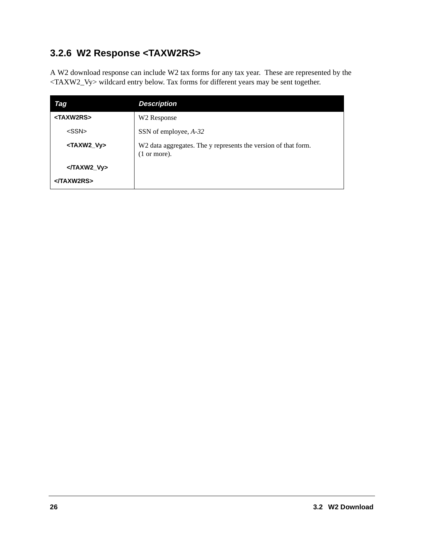# <span id="page-27-0"></span>**3.2.6 W2 Response <TAXW2RS>**

A W2 download response can include W2 tax forms for any tax year. These are represented by the <TAXW2\_Vy> wildcard entry below. Tax forms for different years may be sent together.

<span id="page-27-2"></span><span id="page-27-1"></span>

| <b>Tag</b>            | <b>Description</b>                                                                       |
|-----------------------|------------------------------------------------------------------------------------------|
| <taxw2rs></taxw2rs>   | W <sub>2</sub> Response                                                                  |
| $<$ SSN $>$           | SSN of employee, A-32                                                                    |
| <taxw2_vy></taxw2_vy> | W2 data aggregates. The y represents the version of that form.<br>$(1 \text{ or more}).$ |
| $<$ TAXW2 Vy>         |                                                                                          |
| <th></th>             |                                                                                          |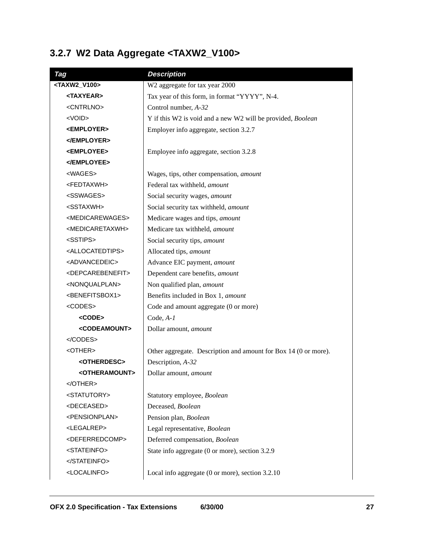# <span id="page-28-0"></span>**3.2.7 W2 Data Aggregate <TAXW2\_V100>**

<span id="page-28-31"></span><span id="page-28-30"></span><span id="page-28-29"></span><span id="page-28-28"></span><span id="page-28-27"></span><span id="page-28-26"></span><span id="page-28-25"></span><span id="page-28-24"></span><span id="page-28-23"></span><span id="page-28-22"></span><span id="page-28-21"></span><span id="page-28-20"></span><span id="page-28-19"></span><span id="page-28-18"></span><span id="page-28-17"></span><span id="page-28-16"></span><span id="page-28-15"></span><span id="page-28-14"></span><span id="page-28-13"></span><span id="page-28-12"></span><span id="page-28-11"></span><span id="page-28-10"></span><span id="page-28-9"></span><span id="page-28-8"></span><span id="page-28-7"></span><span id="page-28-6"></span><span id="page-28-5"></span><span id="page-28-4"></span><span id="page-28-3"></span><span id="page-28-2"></span><span id="page-28-1"></span>

| Tag                               | <b>Description</b>                                              |
|-----------------------------------|-----------------------------------------------------------------|
| <taxw2_v100></taxw2_v100>         | W2 aggregate for tax year 2000                                  |
| <taxyear></taxyear>               | Tax year of this form, in format "YYYY", N-4.                   |
| <cntrlno></cntrlno>               | Control number, A-32                                            |
| $<$ VOID $>$                      | Y if this W2 is void and a new W2 will be provided, Boolean     |
| <employer></employer>             | Employer info aggregate, section 3.2.7                          |
|                                   |                                                                 |
| <employee></employee>             | Employee info aggregate, section 3.2.8                          |
|                                   |                                                                 |
| <wages></wages>                   | Wages, tips, other compensation, amount                         |
| <fedtaxwh></fedtaxwh>             | Federal tax withheld, amount                                    |
| <sswages></sswages>               | Social security wages, amount                                   |
| <sstaxwh></sstaxwh>               | Social security tax withheld, amount                            |
| <medicarewages></medicarewages>   | Medicare wages and tips, amount                                 |
| <medicaretaxwh></medicaretaxwh>   | Medicare tax withheld, amount                                   |
| <sstips></sstips>                 | Social security tips, amount                                    |
| <allocatedtips></allocatedtips>   | Allocated tips, amount                                          |
| <advancedeic></advancedeic>       | Advance EIC payment, amount                                     |
| <depcarebenefit></depcarebenefit> | Dependent care benefits, amount                                 |
| <nonqualplan></nonqualplan>       | Non qualified plan, amount                                      |
| <benefitsbox1></benefitsbox1>     | Benefits included in Box 1, amount                              |
| <codes></codes>                   | Code and amount aggregate (0 or more)                           |
| <code></code>                     | $Code, A-I$                                                     |
| <codeamount></codeamount>         | Dollar amount, amount                                           |
| $<$ /CODES>                       |                                                                 |
| <other></other>                   | Other aggregate. Description and amount for Box 14 (0 or more). |
| <otherdesc></otherdesc>           | Description, A-32                                               |
| <otheramount></otheramount>       | Dollar amount, amount                                           |
| $<$ /OTHER>                       |                                                                 |
| <statutory></statutory>           | Statutory employee, Boolean                                     |
| <deceased></deceased>             | Deceased, Boolean                                               |
| <pensionplan></pensionplan>       | Pension plan, Boolean                                           |
| <legalrep></legalrep>             | Legal representative, Boolean                                   |
| <deferredcomp></deferredcomp>     | Deferred compensation, Boolean                                  |
| <stateinfo></stateinfo>           | State info aggregate (0 or more), section 3.2.9                 |
|                                   |                                                                 |
| <localinfo></localinfo>           | Local info aggregate (0 or more), section 3.2.10                |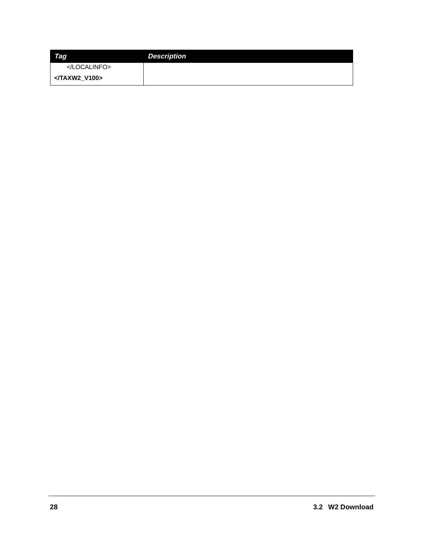| Tag       | <b>Description</b> |
|-----------|--------------------|
|           |                    |
| <td></td> |                    |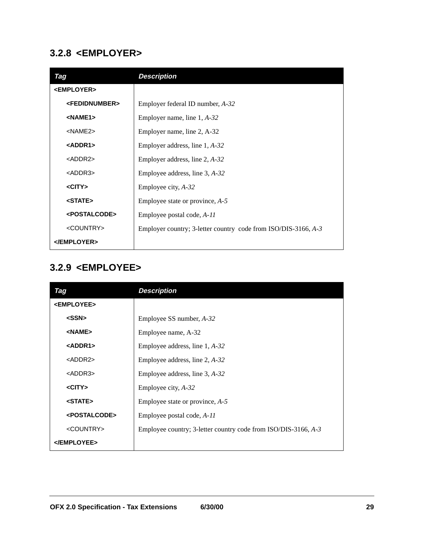#### <span id="page-30-0"></span>**3.2.8 <EMPLOYER>**

<span id="page-30-13"></span><span id="page-30-12"></span><span id="page-30-10"></span><span id="page-30-9"></span><span id="page-30-4"></span><span id="page-30-3"></span><span id="page-30-2"></span>

| Tag                         | <b>Description</b>                                             |
|-----------------------------|----------------------------------------------------------------|
| <employer></employer>       |                                                                |
| <fedidnumber></fedidnumber> | Employer federal ID number, A-32                               |
| $NAME1>$                    | Employer name, line $1, A-32$                                  |
| $<$ NAME $2$ >              | Employer name, line 2, A-32                                    |
| $<$ ADDR1>                  | Employer address, line $1, A-32$                               |
| $<$ ADDR2 $>$               | Employer address, line 2, A-32                                 |
| <addr3></addr3>             | Employee address, line $3, A-32$                               |
| $<$ CITY $>$                | Employee city, A-32                                            |
| <state></state>             | Employee state or province, $A-5$                              |
| <postalcode></postalcode>   | Employee postal code, A-11                                     |
| <country></country>         | Employer country; 3-letter country code from ISO/DIS-3166, A-3 |
|                             |                                                                |

#### <span id="page-30-16"></span><span id="page-30-14"></span><span id="page-30-6"></span><span id="page-30-5"></span><span id="page-30-1"></span>**3.2.9 <EMPLOYEE>**

<span id="page-30-15"></span><span id="page-30-11"></span><span id="page-30-8"></span><span id="page-30-7"></span>

| Tag                       | <b>Description</b>                                             |
|---------------------------|----------------------------------------------------------------|
| <employee></employee>     |                                                                |
| $<$ SSN $>$               | Employee SS number, A-32                                       |
| <name></name>             | Employee name, A-32                                            |
| <addr1></addr1>           | Employee address, line $1, A-32$                               |
| $<$ ADDR2 $>$             | Employee address, line $2, A-32$                               |
| $<$ ADDR3 $>$             | Employee address, line $3, A-32$                               |
| $<$ CITY $>$              | Employee city, A-32                                            |
| <state></state>           | Employee state or province, $A-5$                              |
| <postalcode></postalcode> | Employee postal code, A-11                                     |
| <country></country>       | Employee country; 3-letter country code from ISO/DIS-3166, A-3 |
|                           |                                                                |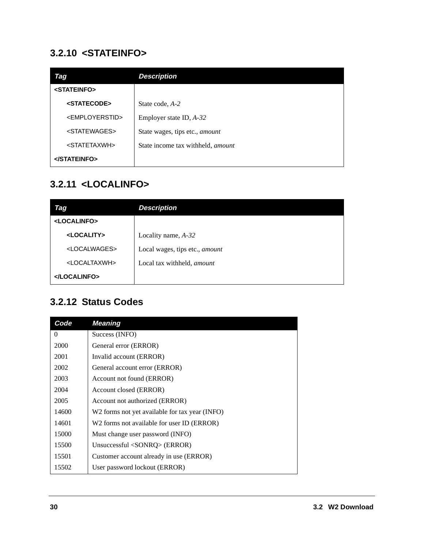#### <span id="page-31-0"></span>**3.2.10 <STATEINFO>**

<span id="page-31-11"></span><span id="page-31-9"></span><span id="page-31-8"></span><span id="page-31-3"></span>

| Tag                           | <b>Description</b>                       |
|-------------------------------|------------------------------------------|
| <stateinfo></stateinfo>       |                                          |
| <statecode></statecode>       | State code, A-2                          |
| <employerstid></employerstid> | Employer state ID, $A-32$                |
| <statewages></statewages>     | State wages, tips etc., amount           |
| <statetaxwh></statetaxwh>     | State income tax withheld, <i>amount</i> |
|                               |                                          |

#### <span id="page-31-10"></span><span id="page-31-1"></span>**3.2.11 <LOCALINFO>**

<span id="page-31-7"></span><span id="page-31-5"></span><span id="page-31-4"></span>

| Tag                       | <b>Description</b>                |
|---------------------------|-----------------------------------|
| <localinfo></localinfo>   |                                   |
| <locality></locality>     | Locality name, $A-32$             |
| <localwages></localwages> | Local wages, tips etc., amount    |
| <localtaxwh></localtaxwh> | Local tax withheld, <i>amount</i> |
|                           |                                   |

#### <span id="page-31-6"></span><span id="page-31-2"></span>**3.2.12 Status Codes**

| Code  | <b>Meaning</b>                                 |
|-------|------------------------------------------------|
| 0     | Success (INFO)                                 |
| 2000  | General error (ERROR)                          |
| 2001  | Invalid account (ERROR)                        |
| 2002  | General account error (ERROR)                  |
| 2003  | Account not found (ERROR)                      |
| 2004  | Account closed (ERROR)                         |
| 2005  | Account not authorized (ERROR)                 |
| 14600 | W2 forms not yet available for tax year (INFO) |
| 14601 | W2 forms not available for user ID (ERROR)     |
| 15000 | Must change user password (INFO)               |
| 15500 | Unsuccessful $\langle$ SONRQ $\rangle$ (ERROR) |
| 15501 | Customer account already in use (ERROR)        |
| 15502 | User password lockout (ERROR)                  |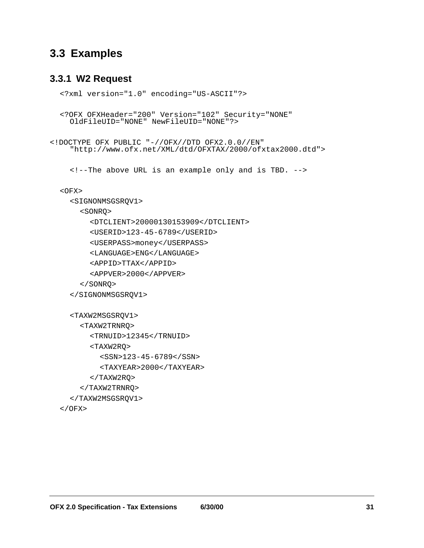#### <span id="page-32-0"></span>**3.3 Examples**

#### <span id="page-32-1"></span>**3.3.1 W2 Request**

```
<?xml version="1.0" encoding="US-ASCII"?>
```
<?OFX OFXHeader="200" Version="102" Security="NONE" OldFileUID="NONE" NewFileUID="NONE"?>

```
<!DOCTYPE OFX PUBLIC "-//OFX//DTD OFX2.0.0//EN"
    "http://www.ofx.net/XML/dtd/OFXTAX/2000/ofxtax2000.dtd">
```
<!--The above URL is an example only and is TBD. -->

```
<OFX>
```
<span id="page-32-6"></span><SIGNONMSGSRQV1>

<span id="page-32-7"></span><SONRQ>

```
<DTCLIENT>20000130153909</DTCLIENT>
```
<span id="page-32-15"></span><USERID>123-45-6789</USERID>

```
<USERPASS>money</USERPASS>
```
<span id="page-32-2"></span><LANGUAGE>ENG</LANGUAGE>

<span id="page-32-3"></span><APPID>TTAX</APPID>

<APPVER>2000</APPVER>

```
</SONRQ>
```

```
</SIGNONMSGSRQV1>
```

```
<TAXW2MSGSRQV1>
    <TAXW2TRNRQ>
      <TRNUID>12345</TRNUID>
      <TAXW2RQ>
         <SSN>123-45-6789</SSN>
         <TAXYEAR>2000</TAXYEAR>
      </TAXW2RQ>
    </TAXW2TRNRQ>
  </TAXW2MSGSRQV1>
</OFX>
```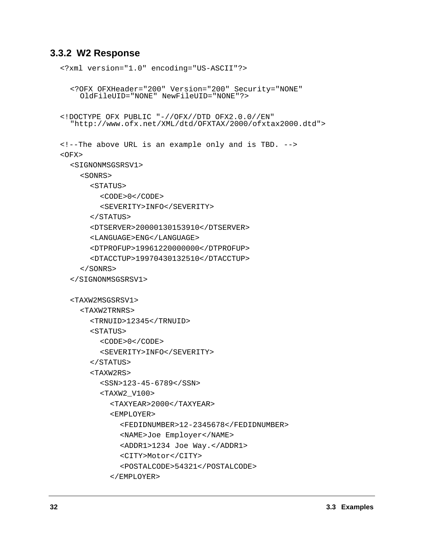#### <span id="page-33-0"></span>**3.3.2 W2 Response**

```
<?xml version="1.0" encoding="US-ASCII"?>
  <?OFX OFXHeader="200" Version="200" Security="NONE"
    OldFileUID="NONE" NewFileUID="NONE"?>
<!DOCTYPE OFX PUBLIC "-//OFX//DTD OFX2.0.0//EN"
  "http://www.ofx.net/XML/dtd/OFXTAX/2000/ofxtax2000.dtd">
<!--The above URL is an example only and is TBD. -->
<OFX><SIGNONMSGSRSV1>
    <SONRS>
      <STATUS>
         <CODE>0</CODE>
         <SEVERITY>INFO</SEVERITY>
      </STATUS>
      <DTSERVER>20000130153910</DTSERVER>
      <LANGUAGE>ENG</LANGUAGE>
      <DTPROFUP>19961220000000</DTPROFUP>
      <DTACCTUP>19970430132510</DTACCTUP>
    </SONRS>
  </SIGNONMSGSRSV1>
  <TAXW2MSGSRSV1>
    <TAXW2TRNRS>
      <TRNUID>12345</TRNUID>
      <STATUS>
         <CODE>0</CODE>
         <SEVERITY>INFO</SEVERITY>
      </STATUS>
      <TAXW2RS>
         <SSN>123-45-6789</SSN>
         <TAXW2_V100>
           <TAXYEAR>2000</TAXYEAR>
           <EMPLOYER>
             <FEDIDNUMBER>12-2345678</FEDIDNUMBER>
             <NAME>Joe Employer</NAME>
             <ADDR1>1234 Joe Way.</ADDR1>
             <CITY>Motor</CITY>
             <POSTALCODE>54321</POSTALCODE>
           </EMPLOYER>
```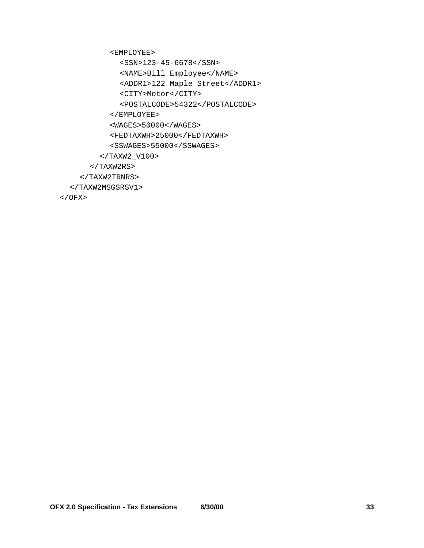<span id="page-34-2"></span><EMPLOYEE>

<span id="page-34-6"></span><span id="page-34-4"></span><SSN>123-45-6678</SSN>

<span id="page-34-0"></span><NAME>Bill Employee</NAME>

```
<ADDR1>122 Maple Street</ADDR1>
```
<span id="page-34-5"></span><CITY>Motor</CITY>

<POSTALCODE>54322</POSTALCODE>

<span id="page-34-8"></span></EMPLOYEE>

<span id="page-34-3"></span><WAGES>50000</WAGES>

<span id="page-34-7"></span><FEDTAXWH>25000</FEDTAXWH>

<SSWAGES>55000</SSWAGES>

</TAXW2\_V100>

 $<$ /TAXW2RS $>$ 

</TAXW2TRNRS>

</TAXW2MSGSRSV1>

 $<$  /OFX>  $\,$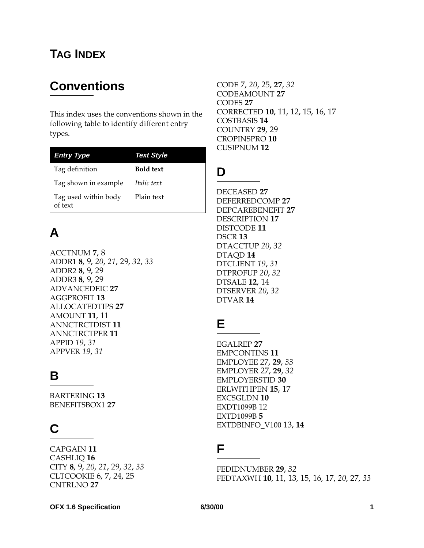# **Conventions**

This index uses the conventions shown in the following table to identify different entry types.

| <b>Entry Type</b>               | Text Style       |
|---------------------------------|------------------|
| Tag definition                  | <b>Bold text</b> |
| Tag shown in example            | Italic text      |
| Tag used within body<br>of text | Plain text       |

# **A**

ACC[T](#page-8-2)NUM 7, 8 ADDR1 8, 9, 20, 21, 29, 32, 33 ADDR2 8, 9, 29 ADDR3 8, 9, 29 ADVANCEDEIC 27 AGGPROFIT 13 ALLOCATEDTIPS 27 AMOUNT 11, 11 A[NN](#page-12-3)CTRCTDIST 11 A[NN](#page-12-4)CTRCTPER 11 APPID 19, 31 APPVER 19, 31

# **B**

BARTERING 13 BENEFITSBOX1 27

# **C**

CAPGAIN 11 CASHLIQ 16 CITY 8, 9, 20, 21, 29, 32, 33 CLTCOOKIE 6, 7, 24, 25 CNTRLNO 27

CODE 7, 20, 25, 27, 32 CODEAMOUNT 27 CODES 27 CORRECTED **10**, 11, 12, 15, 16, 17 COSTBASIS 14 COUNTRY 29, 29 CROPINSPRO 10 CUSIPNUM 12

# **D**

DECEASED 27 DEFERREDCOMP 27 DEPCAREBENEFIT 27 DESCRIPTION 17 DISTCODE 11 DSCR<sub>13</sub> DTACCTUP 20, 32 DTAQD<sub>14</sub> DTCLIENT 19, 31 DTPROFUP 20, 32 DTSALE  $12, 14$ DTSERVER 20, 32 DTVAR 14

# **E**

**EGALREP 27** EMPCONTINS 11 EMPLOYEE 27, 29, 33  $EMPLOYER$  27, 29, 32 **EMPLOYERSTID 30** ERLWITHPEN 15, 17 EXCSGLDN 10 **EXDT1099B12**  $EXTD1099B<sub>5</sub>$  $EXTDBINFO_V10013,14$ 

### **F**

FEDIDNUMBER 29, 32 FEDTAXWH 10, 11, 13, 15, 16, 17, 20, 27, 33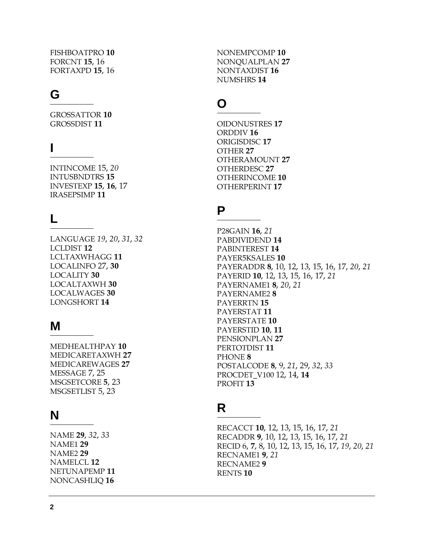FISHBOATPRO 10 FORCNT **15.** 16 FORTAXPD 15, 16

# **G**

GROSSATTOR 10 GROSSDIST 11

## **I**

INTINC[OM](#page-21-8)E 15, 20 INTUSBNDTRS 15 INVESTEXP  $15$ ,  $16$ ,  $17$ IRASEPSIMP<sup>11</sup>

# **L**

LANGUAGE 19, 20, 31, 32 LCLDIST 12 LCLTAXWHAGG 11 LOCALINFO 27, 30 LOCALITY 30 LOCALTAXWH 30 LOCALWAGES 30 LONGSHORT 14

#### **M**

MEDHEALTHPAY 10 MEDICARETAXWH 27 MEDICAREWAGES 27 MESSAGE 7, 25 MSGSETCO[R](#page-6-3)E 5, 23 MSGSETLIST 5, 23

# **N**

NAME 29, 32, 33 **NAME1 29**  $NAME2$  29 NAMELCL<sub>12</sub> NETUNAPEMP 11 NONCASHLIQ 16

NONEMPCOMP 10 NONQUALPLAN 27 NONTAXDIST 16 NUMSHRS 14

# **O**

**OIDONUSTRES 17** ORDDIV<sub>16</sub> ORIGISDISC<sub>17</sub> [OT](#page-28-19)HER 27 [OT](#page-28-20)HERAMOUNT 27 [OT](#page-28-21)HERDESC 27 OTHERINCOME 10 OTHERPERI[NT](#page-18-8) 17

# **P**

P28GAIN 16, 21 PABDIVIDEND 14 PABINTEREST 14 PAYER5KSALES 10 PAYERADDR 8, 10, 12, 13, 15, 16, 17, 20, 21 PAYERID 10, 12, 13, 15, 16, 17, 21 PAYERNAME1 8, 20, 21 PAYERNAME28 PAYERRTN 15 PAYERSTAT<sub>11</sub> PAYERSTATE 10 PAYERSTID 10, 11 PENSIONPLAN 27 PERTOTDIST 11 PHONE 8 [PO](#page-33-11)STALCODE 8, 9, 21, 29, 32, 33 PROCDET\_V100 12, 14, 14 PROFIT<sub>13</sub>

# **R**

RECACCT 10, 12, 13, 15, 16, 17, 21 RECADDR 9, 10, 12, 13, 15, 16, 17, 21 RECID 6, 7, 8, 10, 12, 13, 15, 16, 17, 19, 20, 21 RECNAME1 9, 21 RECNAME2 9 RENTS<sub>10</sub>